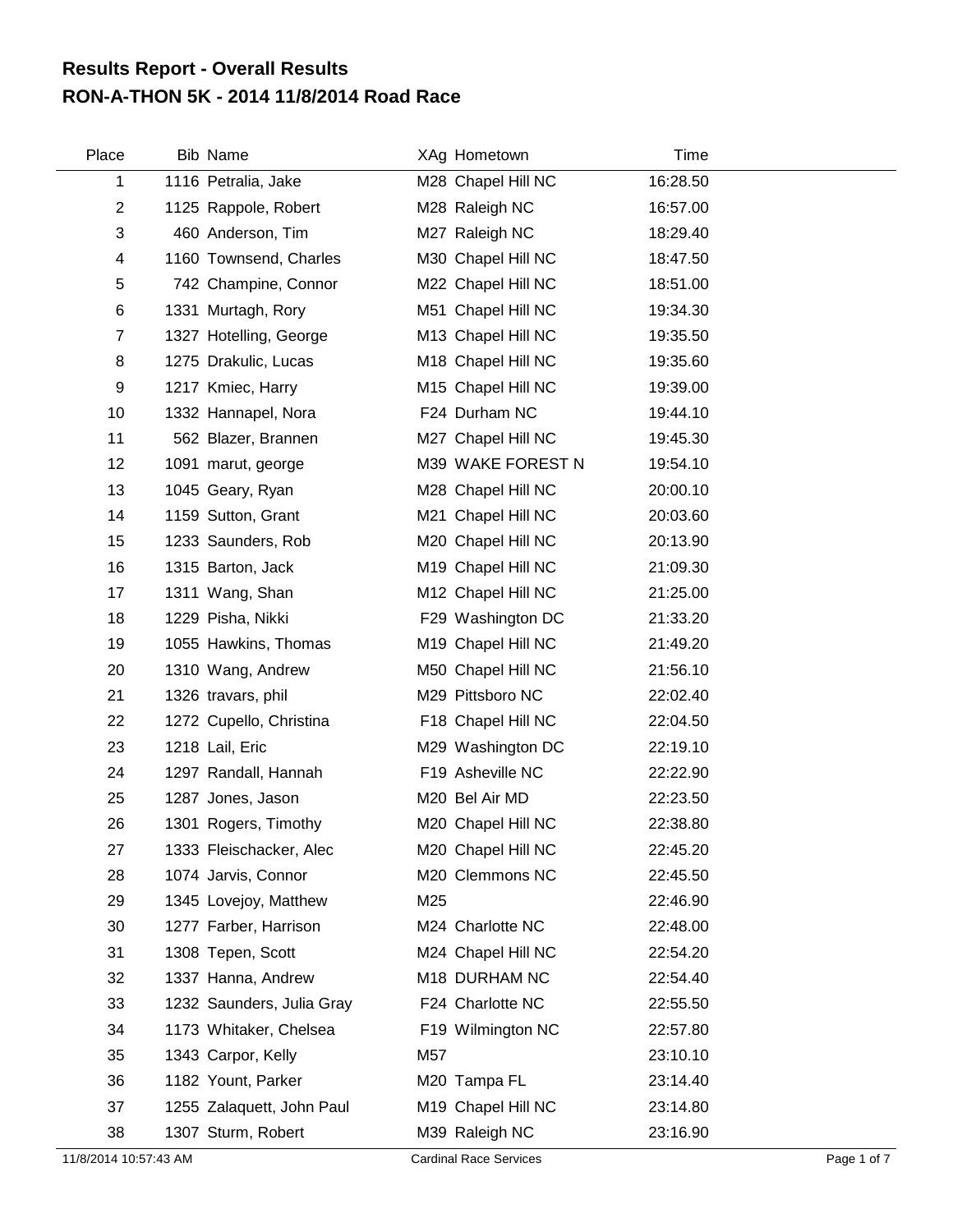## **RON-A-THON 5K - 2014 11/8/2014 Road Race Results Report - Overall Results**

| Place          | <b>Bib Name</b>           | XAg Hometown       | Time     |
|----------------|---------------------------|--------------------|----------|
| 1              | 1116 Petralia, Jake       | M28 Chapel Hill NC | 16:28.50 |
| $\overline{2}$ | 1125 Rappole, Robert      | M28 Raleigh NC     | 16:57.00 |
| 3              | 460 Anderson, Tim         | M27 Raleigh NC     | 18:29.40 |
| 4              | 1160 Townsend, Charles    | M30 Chapel Hill NC | 18:47.50 |
| 5              | 742 Champine, Connor      | M22 Chapel Hill NC | 18:51.00 |
| 6              | 1331 Murtagh, Rory        | M51 Chapel Hill NC | 19:34.30 |
| $\overline{7}$ | 1327 Hotelling, George    | M13 Chapel Hill NC | 19:35.50 |
| 8              | 1275 Drakulic, Lucas      | M18 Chapel Hill NC | 19:35.60 |
| 9              | 1217 Kmiec, Harry         | M15 Chapel Hill NC | 19:39.00 |
| 10             | 1332 Hannapel, Nora       | F24 Durham NC      | 19:44.10 |
| 11             | 562 Blazer, Brannen       | M27 Chapel Hill NC | 19:45.30 |
| 12             | 1091 marut, george        | M39 WAKE FOREST N  | 19:54.10 |
| 13             | 1045 Geary, Ryan          | M28 Chapel Hill NC | 20:00.10 |
| 14             | 1159 Sutton, Grant        | M21 Chapel Hill NC | 20:03.60 |
| 15             | 1233 Saunders, Rob        | M20 Chapel Hill NC | 20:13.90 |
| 16             | 1315 Barton, Jack         | M19 Chapel Hill NC | 21:09.30 |
| 17             | 1311 Wang, Shan           | M12 Chapel Hill NC | 21:25.00 |
| 18             | 1229 Pisha, Nikki         | F29 Washington DC  | 21:33.20 |
| 19             | 1055 Hawkins, Thomas      | M19 Chapel Hill NC | 21:49.20 |
| 20             | 1310 Wang, Andrew         | M50 Chapel Hill NC | 21:56.10 |
| 21             | 1326 travars, phil        | M29 Pittsboro NC   | 22:02.40 |
| 22             | 1272 Cupello, Christina   | F18 Chapel Hill NC | 22:04.50 |
| 23             | 1218 Lail, Eric           | M29 Washington DC  | 22:19.10 |
| 24             | 1297 Randall, Hannah      | F19 Asheville NC   | 22:22.90 |
| 25             | 1287 Jones, Jason         | M20 Bel Air MD     | 22:23.50 |
| 26             | 1301 Rogers, Timothy      | M20 Chapel Hill NC | 22:38.80 |
| 27             | 1333 Fleischacker, Alec   | M20 Chapel Hill NC | 22:45.20 |
| 28             | 1074 Jarvis, Connor       | M20 Clemmons NC    | 22:45.50 |
| 29             | 1345 Lovejoy, Matthew     | M25                | 22:46.90 |
| 30             | 1277 Farber, Harrison     | M24 Charlotte NC   | 22:48.00 |
| 31             | 1308 Tepen, Scott         | M24 Chapel Hill NC | 22:54.20 |
| 32             | 1337 Hanna, Andrew        | M18 DURHAM NC      | 22:54.40 |
| 33             | 1232 Saunders, Julia Gray | F24 Charlotte NC   | 22:55.50 |
| 34             | 1173 Whitaker, Chelsea    | F19 Wilmington NC  | 22:57.80 |
| 35             | 1343 Carpor, Kelly        | M57                | 23:10.10 |
| 36             | 1182 Yount, Parker        | M20 Tampa FL       | 23:14.40 |
| 37             | 1255 Zalaquett, John Paul | M19 Chapel Hill NC | 23:14.80 |
| 38             | 1307 Sturm, Robert        | M39 Raleigh NC     | 23:16.90 |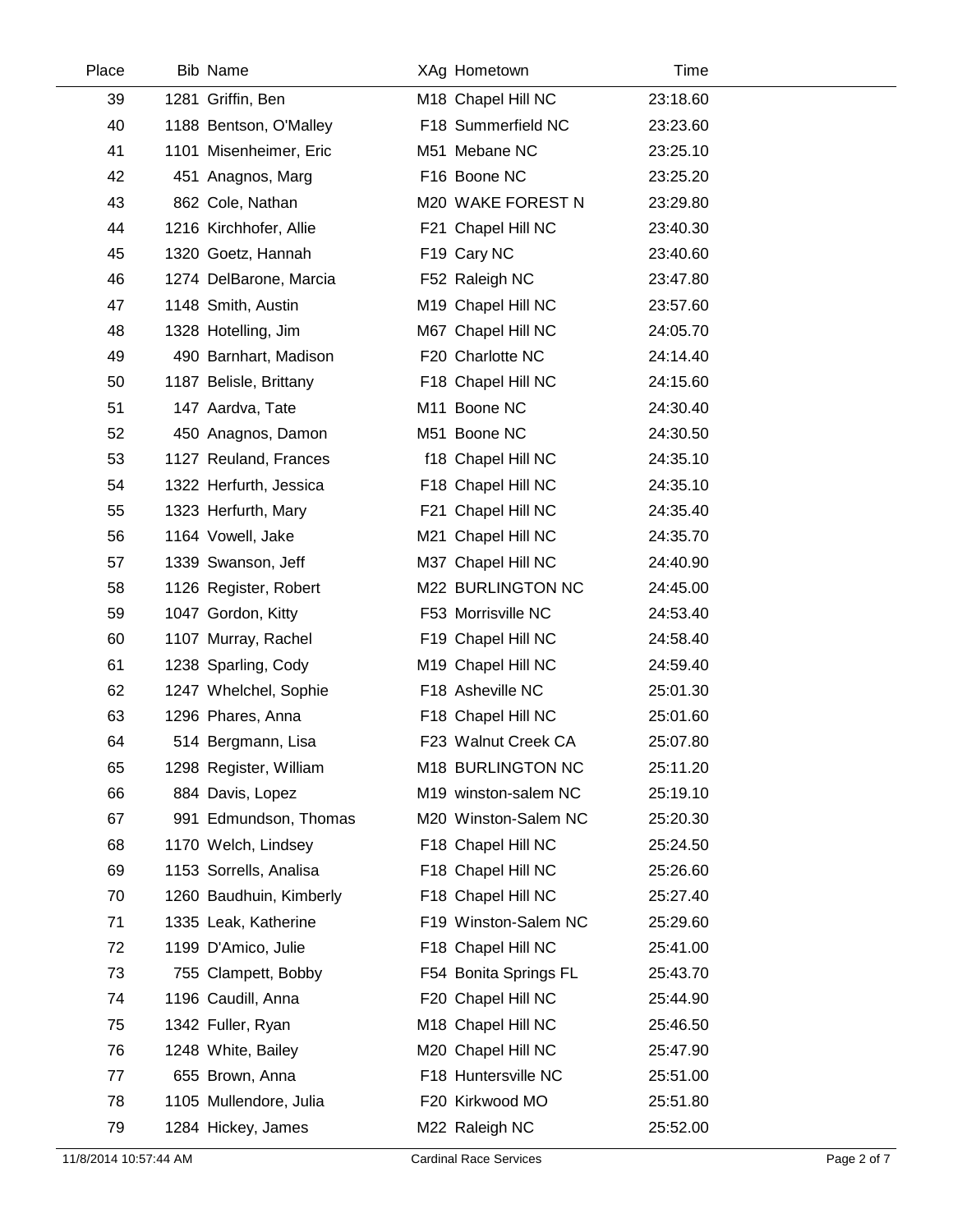| Place | Bib Name                | XAg Hometown          | Time     |  |
|-------|-------------------------|-----------------------|----------|--|
| 39    | 1281 Griffin, Ben       | M18 Chapel Hill NC    | 23:18.60 |  |
| 40    | 1188 Bentson, O'Malley  | F18 Summerfield NC    | 23:23.60 |  |
| 41    | 1101 Misenheimer, Eric  | M51 Mebane NC         | 23:25.10 |  |
| 42    | 451 Anagnos, Marg       | F16 Boone NC          | 23:25.20 |  |
| 43    | 862 Cole, Nathan        | M20 WAKE FOREST N     | 23:29.80 |  |
| 44    | 1216 Kirchhofer, Allie  | F21 Chapel Hill NC    | 23:40.30 |  |
| 45    | 1320 Goetz, Hannah      | F19 Cary NC           | 23:40.60 |  |
| 46    | 1274 DelBarone, Marcia  | F52 Raleigh NC        | 23:47.80 |  |
| 47    | 1148 Smith, Austin      | M19 Chapel Hill NC    | 23:57.60 |  |
| 48    | 1328 Hotelling, Jim     | M67 Chapel Hill NC    | 24:05.70 |  |
| 49    | 490 Barnhart, Madison   | F20 Charlotte NC      | 24:14.40 |  |
| 50    | 1187 Belisle, Brittany  | F18 Chapel Hill NC    | 24:15.60 |  |
| 51    | 147 Aardva, Tate        | M11 Boone NC          | 24:30.40 |  |
| 52    | 450 Anagnos, Damon      | M51 Boone NC          | 24:30.50 |  |
| 53    | 1127 Reuland, Frances   | f18 Chapel Hill NC    | 24:35.10 |  |
| 54    | 1322 Herfurth, Jessica  | F18 Chapel Hill NC    | 24:35.10 |  |
| 55    | 1323 Herfurth, Mary     | F21 Chapel Hill NC    | 24:35.40 |  |
| 56    | 1164 Vowell, Jake       | M21 Chapel Hill NC    | 24:35.70 |  |
| 57    | 1339 Swanson, Jeff      | M37 Chapel Hill NC    | 24:40.90 |  |
| 58    | 1126 Register, Robert   | M22 BURLINGTON NC     | 24:45.00 |  |
| 59    | 1047 Gordon, Kitty      | F53 Morrisville NC    | 24:53.40 |  |
| 60    | 1107 Murray, Rachel     | F19 Chapel Hill NC    | 24:58.40 |  |
| 61    | 1238 Sparling, Cody     | M19 Chapel Hill NC    | 24:59.40 |  |
| 62    | 1247 Whelchel, Sophie   | F18 Asheville NC      | 25:01.30 |  |
| 63    | 1296 Phares, Anna       | F18 Chapel Hill NC    | 25:01.60 |  |
| 64    | 514 Bergmann, Lisa      | F23 Walnut Creek CA   | 25:07.80 |  |
| 65    | 1298 Register, William  | M18 BURLINGTON NC     | 25:11.20 |  |
| 66    | 884 Davis, Lopez        | M19 winston-salem NC  | 25:19.10 |  |
| 67    | 991 Edmundson, Thomas   | M20 Winston-Salem NC  | 25:20.30 |  |
| 68    | 1170 Welch, Lindsey     | F18 Chapel Hill NC    | 25:24.50 |  |
| 69    | 1153 Sorrells, Analisa  | F18 Chapel Hill NC    | 25:26.60 |  |
| 70    | 1260 Baudhuin, Kimberly | F18 Chapel Hill NC    | 25:27.40 |  |
| 71    | 1335 Leak, Katherine    | F19 Winston-Salem NC  | 25:29.60 |  |
| 72    | 1199 D'Amico, Julie     | F18 Chapel Hill NC    | 25:41.00 |  |
| 73    | 755 Clampett, Bobby     | F54 Bonita Springs FL | 25:43.70 |  |
| 74    | 1196 Caudill, Anna      | F20 Chapel Hill NC    | 25:44.90 |  |
| 75    | 1342 Fuller, Ryan       | M18 Chapel Hill NC    | 25:46.50 |  |
| 76    | 1248 White, Bailey      | M20 Chapel Hill NC    | 25:47.90 |  |
| 77    | 655 Brown, Anna         | F18 Huntersville NC   | 25:51.00 |  |
| 78    | 1105 Mullendore, Julia  | F20 Kirkwood MO       | 25:51.80 |  |
| 79    | 1284 Hickey, James      | M22 Raleigh NC        | 25:52.00 |  |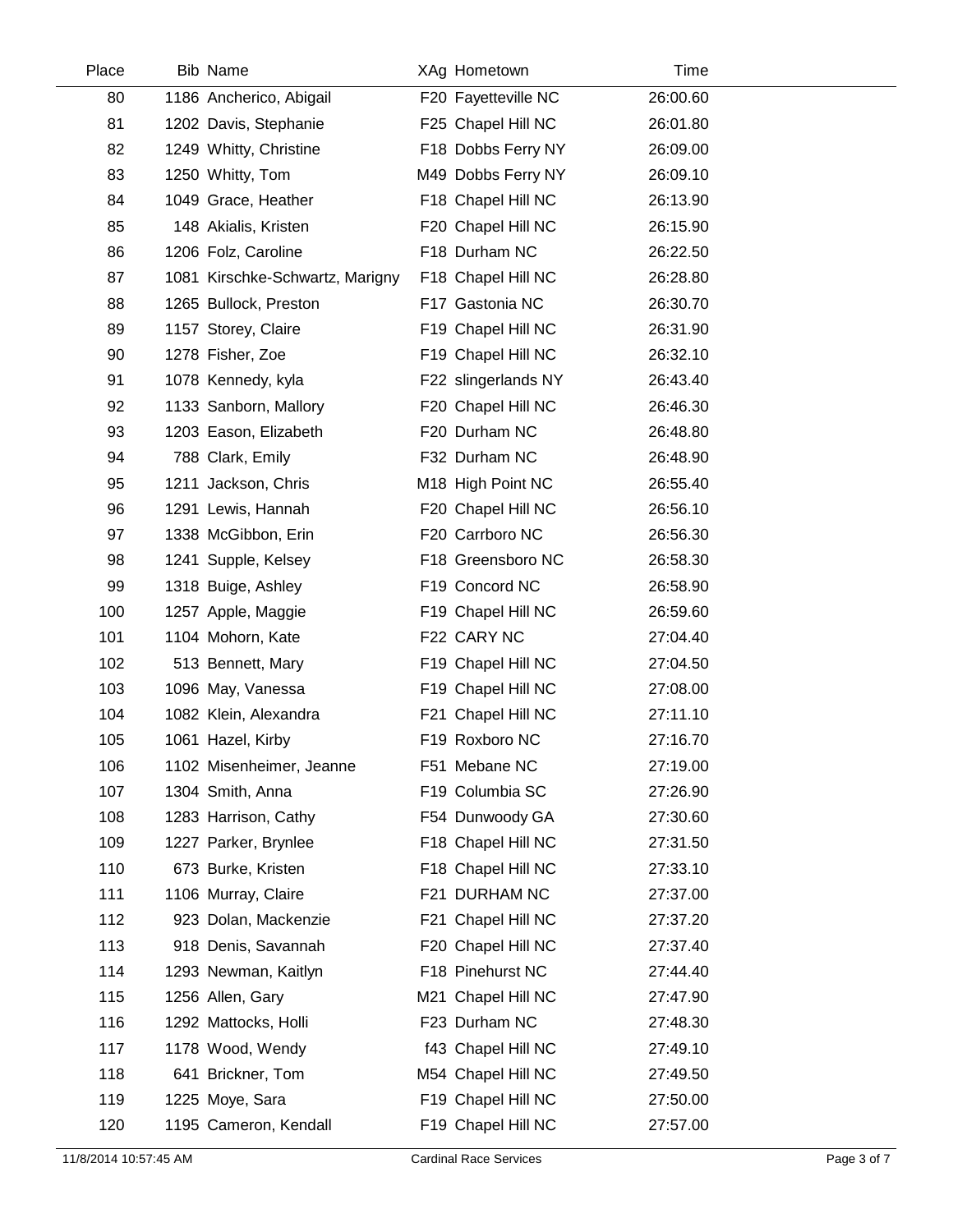| Place | <b>Bib Name</b>                 | XAg Hometown        | Time     |  |
|-------|---------------------------------|---------------------|----------|--|
| 80    | 1186 Ancherico, Abigail         | F20 Fayetteville NC | 26:00.60 |  |
| 81    | 1202 Davis, Stephanie           | F25 Chapel Hill NC  | 26:01.80 |  |
| 82    | 1249 Whitty, Christine          | F18 Dobbs Ferry NY  | 26:09.00 |  |
| 83    | 1250 Whitty, Tom                | M49 Dobbs Ferry NY  | 26:09.10 |  |
| 84    | 1049 Grace, Heather             | F18 Chapel Hill NC  | 26:13.90 |  |
| 85    | 148 Akialis, Kristen            | F20 Chapel Hill NC  | 26:15.90 |  |
| 86    | 1206 Folz, Caroline             | F18 Durham NC       | 26:22.50 |  |
| 87    | 1081 Kirschke-Schwartz, Marigny | F18 Chapel Hill NC  | 26:28.80 |  |
| 88    | 1265 Bullock, Preston           | F17 Gastonia NC     | 26:30.70 |  |
| 89    | 1157 Storey, Claire             | F19 Chapel Hill NC  | 26:31.90 |  |
| 90    | 1278 Fisher, Zoe                | F19 Chapel Hill NC  | 26:32.10 |  |
| 91    | 1078 Kennedy, kyla              | F22 slingerlands NY | 26:43.40 |  |
| 92    | 1133 Sanborn, Mallory           | F20 Chapel Hill NC  | 26:46.30 |  |
| 93    | 1203 Eason, Elizabeth           | F20 Durham NC       | 26:48.80 |  |
| 94    | 788 Clark, Emily                | F32 Durham NC       | 26:48.90 |  |
| 95    | 1211 Jackson, Chris             | M18 High Point NC   | 26:55.40 |  |
| 96    | 1291 Lewis, Hannah              | F20 Chapel Hill NC  | 26:56.10 |  |
| 97    | 1338 McGibbon, Erin             | F20 Carrboro NC     | 26:56.30 |  |
| 98    | 1241 Supple, Kelsey             | F18 Greensboro NC   | 26:58.30 |  |
| 99    | 1318 Buige, Ashley              | F19 Concord NC      | 26:58.90 |  |
| 100   | 1257 Apple, Maggie              | F19 Chapel Hill NC  | 26:59.60 |  |
| 101   | 1104 Mohorn, Kate               | F22 CARY NC         | 27:04.40 |  |
| 102   | 513 Bennett, Mary               | F19 Chapel Hill NC  | 27:04.50 |  |
| 103   | 1096 May, Vanessa               | F19 Chapel Hill NC  | 27:08.00 |  |
| 104   | 1082 Klein, Alexandra           | F21 Chapel Hill NC  | 27:11.10 |  |
| 105   | 1061 Hazel, Kirby               | F19 Roxboro NC      | 27:16.70 |  |
| 106   | 1102 Misenheimer, Jeanne        | F51 Mebane NC       | 27:19.00 |  |
| 107   | 1304 Smith, Anna                | F19 Columbia SC     | 27:26.90 |  |
| 108   | 1283 Harrison, Cathy            | F54 Dunwoody GA     | 27:30.60 |  |
| 109   | 1227 Parker, Brynlee            | F18 Chapel Hill NC  | 27:31.50 |  |
| 110   | 673 Burke, Kristen              | F18 Chapel Hill NC  | 27:33.10 |  |
| 111   | 1106 Murray, Claire             | F21 DURHAM NC       | 27:37.00 |  |
| 112   | 923 Dolan, Mackenzie            | F21 Chapel Hill NC  | 27:37.20 |  |
| 113   | 918 Denis, Savannah             | F20 Chapel Hill NC  | 27:37.40 |  |
| 114   | 1293 Newman, Kaitlyn            | F18 Pinehurst NC    | 27:44.40 |  |
| 115   | 1256 Allen, Gary                | M21 Chapel Hill NC  | 27:47.90 |  |
| 116   | 1292 Mattocks, Holli            | F23 Durham NC       | 27:48.30 |  |
| 117   | 1178 Wood, Wendy                | f43 Chapel Hill NC  | 27:49.10 |  |
| 118   | 641 Brickner, Tom               | M54 Chapel Hill NC  | 27:49.50 |  |
| 119   | 1225 Moye, Sara                 | F19 Chapel Hill NC  | 27:50.00 |  |
| 120   | 1195 Cameron, Kendall           | F19 Chapel Hill NC  | 27:57.00 |  |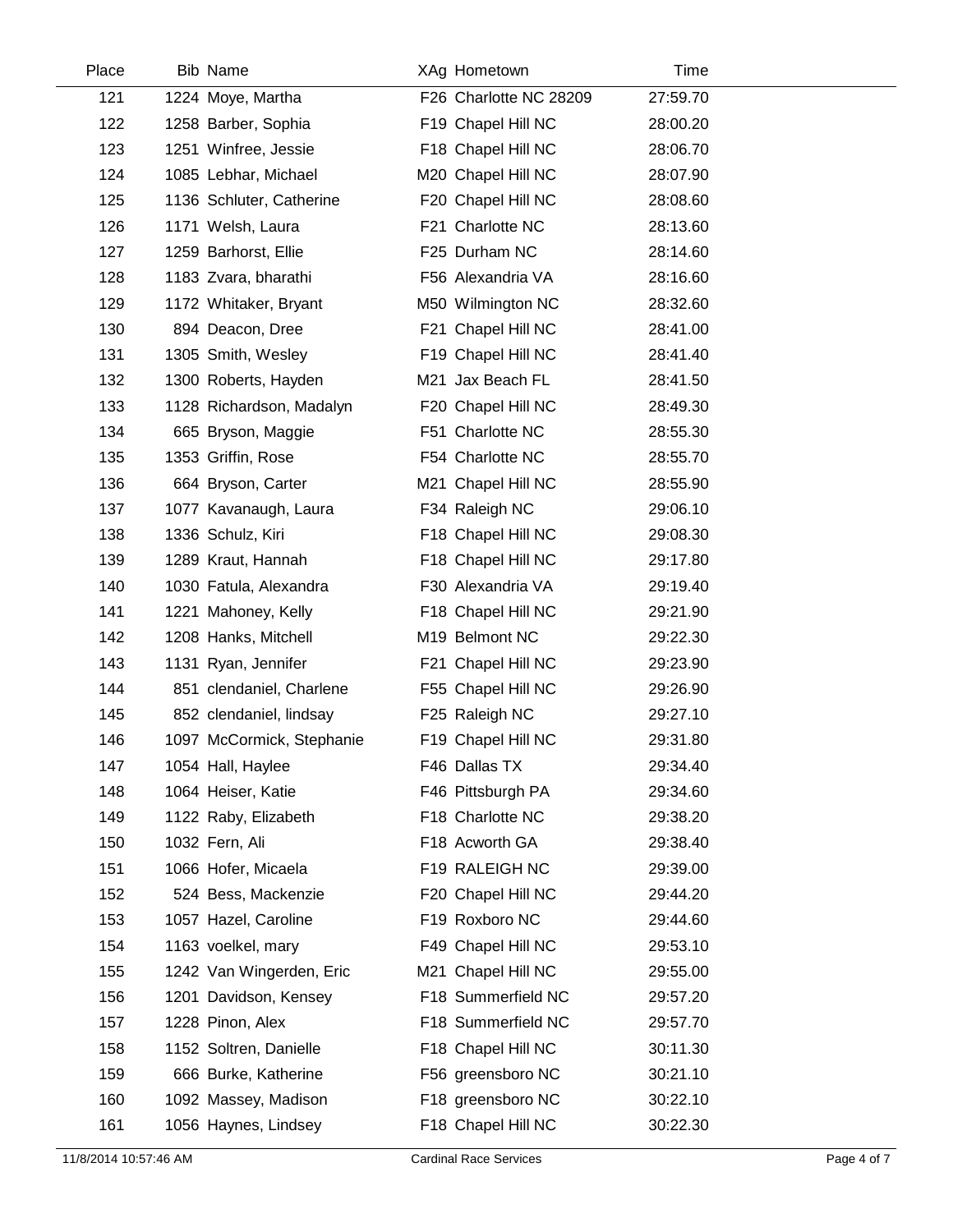| Place | Bib Name                  | XAg Hometown           | Time     |  |
|-------|---------------------------|------------------------|----------|--|
| 121   | 1224 Moye, Martha         | F26 Charlotte NC 28209 | 27:59.70 |  |
| 122   | 1258 Barber, Sophia       | F19 Chapel Hill NC     | 28:00.20 |  |
| 123   | 1251 Winfree, Jessie      | F18 Chapel Hill NC     | 28:06.70 |  |
| 124   | 1085 Lebhar, Michael      | M20 Chapel Hill NC     | 28:07.90 |  |
| 125   | 1136 Schluter, Catherine  | F20 Chapel Hill NC     | 28:08.60 |  |
| 126   | 1171 Welsh, Laura         | F21 Charlotte NC       | 28:13.60 |  |
| 127   | 1259 Barhorst, Ellie      | F25 Durham NC          | 28:14.60 |  |
| 128   | 1183 Zvara, bharathi      | F56 Alexandria VA      | 28:16.60 |  |
| 129   | 1172 Whitaker, Bryant     | M50 Wilmington NC      | 28:32.60 |  |
| 130   | 894 Deacon, Dree          | F21 Chapel Hill NC     | 28:41.00 |  |
| 131   | 1305 Smith, Wesley        | F19 Chapel Hill NC     | 28:41.40 |  |
| 132   | 1300 Roberts, Hayden      | M21 Jax Beach FL       | 28:41.50 |  |
| 133   | 1128 Richardson, Madalyn  | F20 Chapel Hill NC     | 28:49.30 |  |
| 134   | 665 Bryson, Maggie        | F51 Charlotte NC       | 28:55.30 |  |
| 135   | 1353 Griffin, Rose        | F54 Charlotte NC       | 28:55.70 |  |
| 136   | 664 Bryson, Carter        | M21 Chapel Hill NC     | 28:55.90 |  |
| 137   | 1077 Kavanaugh, Laura     | F34 Raleigh NC         | 29:06.10 |  |
| 138   | 1336 Schulz, Kiri         | F18 Chapel Hill NC     | 29:08.30 |  |
| 139   | 1289 Kraut, Hannah        | F18 Chapel Hill NC     | 29:17.80 |  |
| 140   | 1030 Fatula, Alexandra    | F30 Alexandria VA      | 29:19.40 |  |
| 141   | 1221 Mahoney, Kelly       | F18 Chapel Hill NC     | 29:21.90 |  |
| 142   | 1208 Hanks, Mitchell      | M19 Belmont NC         | 29:22.30 |  |
| 143   | 1131 Ryan, Jennifer       | F21 Chapel Hill NC     | 29:23.90 |  |
| 144   | 851 clendaniel, Charlene  | F55 Chapel Hill NC     | 29:26.90 |  |
| 145   | 852 clendaniel, lindsay   | F25 Raleigh NC         | 29:27.10 |  |
| 146   | 1097 McCormick, Stephanie | F19 Chapel Hill NC     | 29:31.80 |  |
| 147   | 1054 Hall, Haylee         | F46 Dallas TX          | 29:34.40 |  |
| 148   | 1064 Heiser, Katie        | F46 Pittsburgh PA      | 29:34.60 |  |
| 149   | 1122 Raby, Elizabeth      | F18 Charlotte NC       | 29:38.20 |  |
| 150   | 1032 Fern, Ali            | F18 Acworth GA         | 29:38.40 |  |
| 151   | 1066 Hofer, Micaela       | F19 RALEIGH NC         | 29:39.00 |  |
| 152   | 524 Bess, Mackenzie       | F20 Chapel Hill NC     | 29:44.20 |  |
| 153   | 1057 Hazel, Caroline      | F19 Roxboro NC         | 29:44.60 |  |
| 154   | 1163 voelkel, mary        | F49 Chapel Hill NC     | 29:53.10 |  |
| 155   | 1242 Van Wingerden, Eric  | M21 Chapel Hill NC     | 29:55.00 |  |
| 156   | 1201 Davidson, Kensey     | F18 Summerfield NC     | 29:57.20 |  |
| 157   | 1228 Pinon, Alex          | F18 Summerfield NC     | 29:57.70 |  |
| 158   | 1152 Soltren, Danielle    | F18 Chapel Hill NC     | 30:11.30 |  |
| 159   | 666 Burke, Katherine      | F56 greensboro NC      | 30:21.10 |  |
| 160   | 1092 Massey, Madison      | F18 greensboro NC      | 30:22.10 |  |
| 161   | 1056 Haynes, Lindsey      | F18 Chapel Hill NC     | 30:22.30 |  |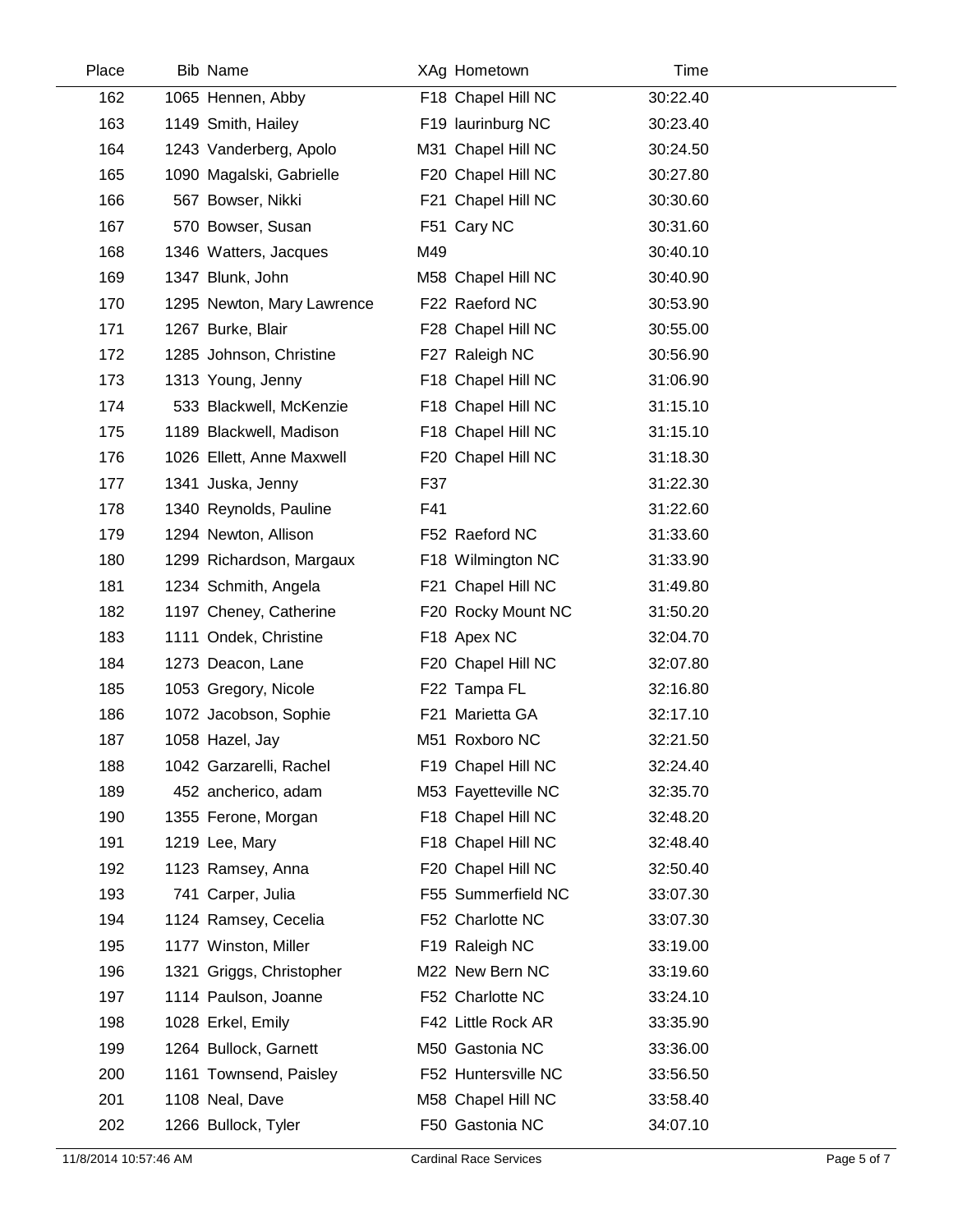| Place | <b>Bib Name</b>            |     | XAg Hometown        | Time     |  |
|-------|----------------------------|-----|---------------------|----------|--|
| 162   | 1065 Hennen, Abby          |     | F18 Chapel Hill NC  | 30:22.40 |  |
| 163   | 1149 Smith, Hailey         |     | F19 laurinburg NC   | 30:23.40 |  |
| 164   | 1243 Vanderberg, Apolo     |     | M31 Chapel Hill NC  | 30:24.50 |  |
| 165   | 1090 Magalski, Gabrielle   |     | F20 Chapel Hill NC  | 30:27.80 |  |
| 166   | 567 Bowser, Nikki          |     | F21 Chapel Hill NC  | 30:30.60 |  |
| 167   | 570 Bowser, Susan          |     | F51 Cary NC         | 30:31.60 |  |
| 168   | 1346 Watters, Jacques      | M49 |                     | 30:40.10 |  |
| 169   | 1347 Blunk, John           |     | M58 Chapel Hill NC  | 30:40.90 |  |
| 170   | 1295 Newton, Mary Lawrence |     | F22 Raeford NC      | 30:53.90 |  |
| 171   | 1267 Burke, Blair          |     | F28 Chapel Hill NC  | 30:55.00 |  |
| 172   | 1285 Johnson, Christine    |     | F27 Raleigh NC      | 30:56.90 |  |
| 173   | 1313 Young, Jenny          |     | F18 Chapel Hill NC  | 31:06.90 |  |
| 174   | 533 Blackwell, McKenzie    |     | F18 Chapel Hill NC  | 31:15.10 |  |
| 175   | 1189 Blackwell, Madison    |     | F18 Chapel Hill NC  | 31:15.10 |  |
| 176   | 1026 Ellett, Anne Maxwell  |     | F20 Chapel Hill NC  | 31:18.30 |  |
| 177   | 1341 Juska, Jenny          | F37 |                     | 31:22.30 |  |
| 178   | 1340 Reynolds, Pauline     | F41 |                     | 31:22.60 |  |
| 179   | 1294 Newton, Allison       |     | F52 Raeford NC      | 31:33.60 |  |
| 180   | 1299 Richardson, Margaux   |     | F18 Wilmington NC   | 31:33.90 |  |
| 181   | 1234 Schmith, Angela       |     | F21 Chapel Hill NC  | 31:49.80 |  |
| 182   | 1197 Cheney, Catherine     |     | F20 Rocky Mount NC  | 31:50.20 |  |
| 183   | 1111 Ondek, Christine      |     | F18 Apex NC         | 32:04.70 |  |
| 184   | 1273 Deacon, Lane          |     | F20 Chapel Hill NC  | 32:07.80 |  |
| 185   | 1053 Gregory, Nicole       |     | F22 Tampa FL        | 32:16.80 |  |
| 186   | 1072 Jacobson, Sophie      |     | F21 Marietta GA     | 32:17.10 |  |
| 187   | 1058 Hazel, Jay            |     | M51 Roxboro NC      | 32:21.50 |  |
| 188   | 1042 Garzarelli, Rachel    |     | F19 Chapel Hill NC  | 32:24.40 |  |
| 189   | 452 ancherico, adam        |     | M53 Fayetteville NC | 32:35.70 |  |
| 190   | 1355 Ferone, Morgan        |     | F18 Chapel Hill NC  | 32:48.20 |  |
| 191   | 1219 Lee, Mary             |     | F18 Chapel Hill NC  | 32:48.40 |  |
| 192   | 1123 Ramsey, Anna          |     | F20 Chapel Hill NC  | 32:50.40 |  |
| 193   | 741 Carper, Julia          |     | F55 Summerfield NC  | 33:07.30 |  |
| 194   | 1124 Ramsey, Cecelia       |     | F52 Charlotte NC    | 33:07.30 |  |
| 195   | 1177 Winston, Miller       |     | F19 Raleigh NC      | 33:19.00 |  |
| 196   | 1321 Griggs, Christopher   |     | M22 New Bern NC     | 33:19.60 |  |
| 197   | 1114 Paulson, Joanne       |     | F52 Charlotte NC    | 33:24.10 |  |
| 198   | 1028 Erkel, Emily          |     | F42 Little Rock AR  | 33:35.90 |  |
| 199   | 1264 Bullock, Garnett      |     | M50 Gastonia NC     | 33:36.00 |  |
| 200   | 1161 Townsend, Paisley     |     | F52 Huntersville NC | 33:56.50 |  |
| 201   | 1108 Neal, Dave            |     | M58 Chapel Hill NC  | 33:58.40 |  |
| 202   | 1266 Bullock, Tyler        |     | F50 Gastonia NC     | 34:07.10 |  |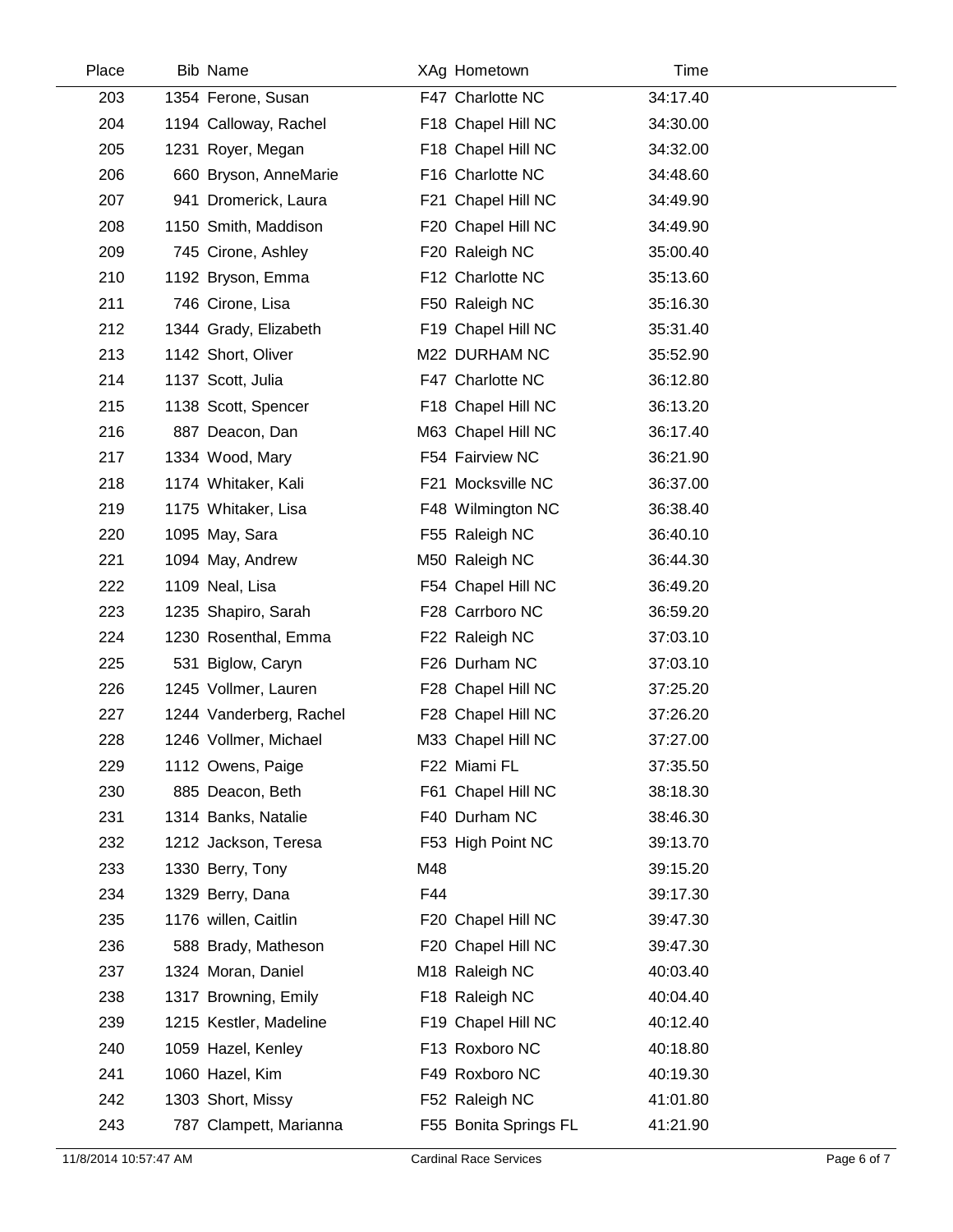| Place | <b>Bib Name</b>         |     | XAg Hometown               | Time     |  |
|-------|-------------------------|-----|----------------------------|----------|--|
| 203   | 1354 Ferone, Susan      |     | F47 Charlotte NC           | 34:17.40 |  |
| 204   | 1194 Calloway, Rachel   |     | F18 Chapel Hill NC         | 34:30.00 |  |
| 205   | 1231 Royer, Megan       |     | F18 Chapel Hill NC         | 34:32.00 |  |
| 206   | 660 Bryson, AnneMarie   |     | F16 Charlotte NC           | 34:48.60 |  |
| 207   | 941 Dromerick, Laura    |     | F21 Chapel Hill NC         | 34:49.90 |  |
| 208   | 1150 Smith, Maddison    |     | F20 Chapel Hill NC         | 34:49.90 |  |
| 209   | 745 Cirone, Ashley      |     | F20 Raleigh NC             | 35:00.40 |  |
| 210   | 1192 Bryson, Emma       |     | F12 Charlotte NC           | 35:13.60 |  |
| 211   | 746 Cirone, Lisa        |     | F50 Raleigh NC             | 35:16.30 |  |
| 212   | 1344 Grady, Elizabeth   |     | F19 Chapel Hill NC         | 35:31.40 |  |
| 213   | 1142 Short, Oliver      |     | M22 DURHAM NC              | 35:52.90 |  |
| 214   | 1137 Scott, Julia       |     | F47 Charlotte NC           | 36:12.80 |  |
| 215   | 1138 Scott, Spencer     |     | F18 Chapel Hill NC         | 36:13.20 |  |
| 216   | 887 Deacon, Dan         |     | M63 Chapel Hill NC         | 36:17.40 |  |
| 217   | 1334 Wood, Mary         |     | F54 Fairview NC            | 36:21.90 |  |
| 218   | 1174 Whitaker, Kali     |     | F21 Mocksville NC          | 36:37.00 |  |
| 219   | 1175 Whitaker, Lisa     |     | F48 Wilmington NC          | 36:38.40 |  |
| 220   | 1095 May, Sara          |     | F55 Raleigh NC             | 36:40.10 |  |
| 221   | 1094 May, Andrew        |     | M50 Raleigh NC             | 36:44.30 |  |
| 222   | 1109 Neal, Lisa         |     | F54 Chapel Hill NC         | 36:49.20 |  |
| 223   | 1235 Shapiro, Sarah     |     | F28 Carrboro NC            | 36:59.20 |  |
| 224   | 1230 Rosenthal, Emma    |     | F22 Raleigh NC             | 37:03.10 |  |
| 225   | 531 Biglow, Caryn       |     | F26 Durham NC              | 37:03.10 |  |
| 226   | 1245 Vollmer, Lauren    |     | F28 Chapel Hill NC         | 37:25.20 |  |
| 227   | 1244 Vanderberg, Rachel |     | F28 Chapel Hill NC         | 37:26.20 |  |
| 228   | 1246 Vollmer, Michael   |     | M33 Chapel Hill NC         | 37:27.00 |  |
| 229   | 1112 Owens, Paige       |     | F22 Miami FL               | 37:35.50 |  |
| 230   | 885 Deacon, Beth        |     | F61 Chapel Hill NC         | 38:18.30 |  |
| 231   | 1314 Banks, Natalie     |     | F40 Durham NC              | 38:46.30 |  |
| 232   | 1212 Jackson, Teresa    |     | F53 High Point NC          | 39:13.70 |  |
| 233   | 1330 Berry, Tony        | M48 |                            | 39:15.20 |  |
| 234   | 1329 Berry, Dana        | F44 |                            | 39:17.30 |  |
| 235   | 1176 willen, Caitlin    |     | F20 Chapel Hill NC         | 39:47.30 |  |
| 236   | 588 Brady, Matheson     |     | F20 Chapel Hill NC         | 39:47.30 |  |
| 237   | 1324 Moran, Daniel      |     | M <sub>18</sub> Raleigh NC | 40:03.40 |  |
| 238   | 1317 Browning, Emily    |     | F18 Raleigh NC             | 40:04.40 |  |
| 239   | 1215 Kestler, Madeline  |     | F19 Chapel Hill NC         | 40:12.40 |  |
| 240   | 1059 Hazel, Kenley      |     | F13 Roxboro NC             | 40:18.80 |  |
| 241   | 1060 Hazel, Kim         |     | F49 Roxboro NC             | 40:19.30 |  |
| 242   | 1303 Short, Missy       |     | F52 Raleigh NC             | 41:01.80 |  |
| 243   | 787 Clampett, Marianna  |     | F55 Bonita Springs FL      | 41:21.90 |  |